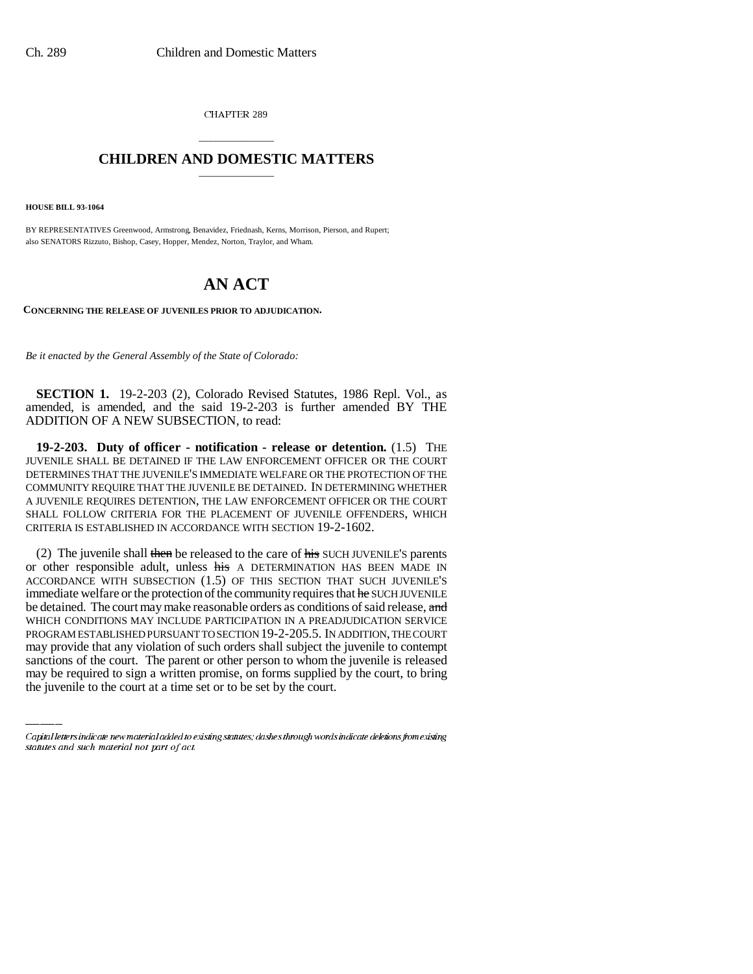CHAPTER 289

## \_\_\_\_\_\_\_\_\_\_\_\_\_\_\_ **CHILDREN AND DOMESTIC MATTERS** \_\_\_\_\_\_\_\_\_\_\_\_\_\_\_

**HOUSE BILL 93-1064**

BY REPRESENTATIVES Greenwood, Armstrong, Benavidez, Friednash, Kerns, Morrison, Pierson, and Rupert; also SENATORS Rizzuto, Bishop, Casey, Hopper, Mendez, Norton, Traylor, and Wham.

## **AN ACT**

**CONCERNING THE RELEASE OF JUVENILES PRIOR TO ADJUDICATION.**

*Be it enacted by the General Assembly of the State of Colorado:*

**SECTION 1.** 19-2-203 (2), Colorado Revised Statutes, 1986 Repl. Vol., as amended, is amended, and the said 19-2-203 is further amended BY THE ADDITION OF A NEW SUBSECTION, to read:

**19-2-203. Duty of officer - notification - release or detention.** (1.5) THE JUVENILE SHALL BE DETAINED IF THE LAW ENFORCEMENT OFFICER OR THE COURT DETERMINES THAT THE JUVENILE'S IMMEDIATE WELFARE OR THE PROTECTION OF THE COMMUNITY REQUIRE THAT THE JUVENILE BE DETAINED. IN DETERMINING WHETHER A JUVENILE REQUIRES DETENTION, THE LAW ENFORCEMENT OFFICER OR THE COURT SHALL FOLLOW CRITERIA FOR THE PLACEMENT OF JUVENILE OFFENDERS, WHICH CRITERIA IS ESTABLISHED IN ACCORDANCE WITH SECTION 19-2-1602.

PROGRAM ESTABLISHED PURSUANT TO SECTION 19-2-205.5. IN ADDITION, THE COURT (2) The juvenile shall then be released to the care of his SUCH JUVENILE'S parents or other responsible adult, unless his A DETERMINATION HAS BEEN MADE IN ACCORDANCE WITH SUBSECTION (1.5) OF THIS SECTION THAT SUCH JUVENILE'S immediate welfare or the protection of the community requires that he SUCH JUVENILE be detained. The court may make reasonable orders as conditions of said release, and WHICH CONDITIONS MAY INCLUDE PARTICIPATION IN A PREADJUDICATION SERVICE may provide that any violation of such orders shall subject the juvenile to contempt sanctions of the court. The parent or other person to whom the juvenile is released may be required to sign a written promise, on forms supplied by the court, to bring the juvenile to the court at a time set or to be set by the court.

Capital letters indicate new material added to existing statutes; dashes through words indicate deletions from existing statutes and such material not part of act.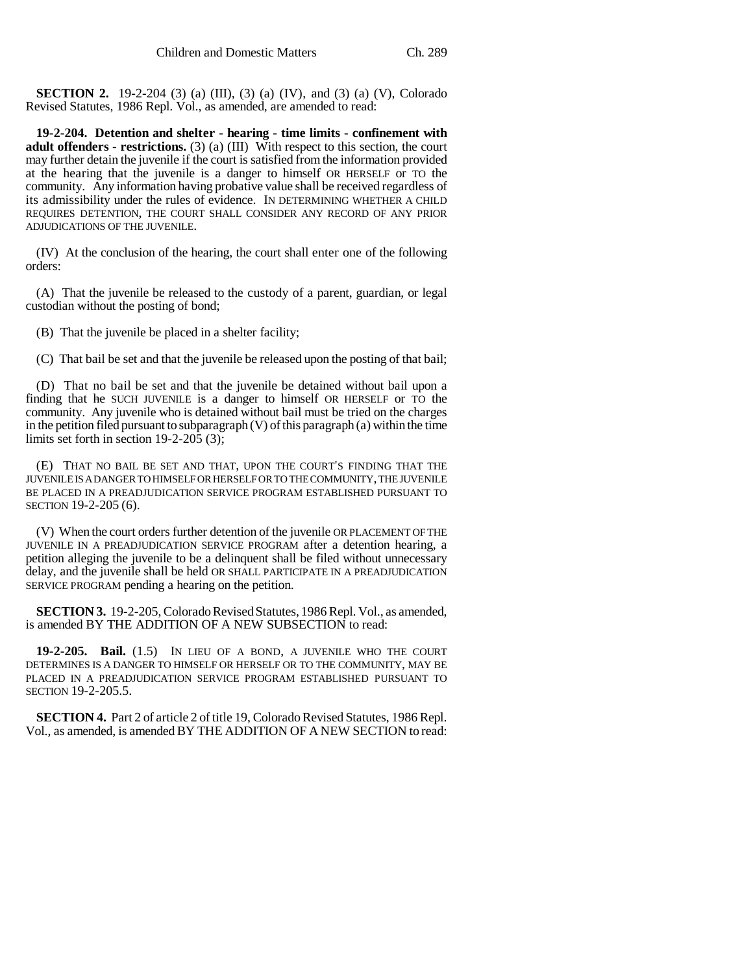**SECTION 2.** 19-2-204 (3) (a) (III), (3) (a) (IV), and (3) (a) (V), Colorado Revised Statutes, 1986 Repl. Vol., as amended, are amended to read:

**19-2-204. Detention and shelter - hearing - time limits - confinement with adult offenders - restrictions.** (3) (a) (III) With respect to this section, the court may further detain the juvenile if the court is satisfied from the information provided at the hearing that the juvenile is a danger to himself OR HERSELF or TO the community. Any information having probative value shall be received regardless of its admissibility under the rules of evidence. IN DETERMINING WHETHER A CHILD REQUIRES DETENTION, THE COURT SHALL CONSIDER ANY RECORD OF ANY PRIOR ADJUDICATIONS OF THE JUVENILE.

(IV) At the conclusion of the hearing, the court shall enter one of the following orders:

(A) That the juvenile be released to the custody of a parent, guardian, or legal custodian without the posting of bond;

(B) That the juvenile be placed in a shelter facility;

(C) That bail be set and that the juvenile be released upon the posting of that bail;

(D) That no bail be set and that the juvenile be detained without bail upon a finding that he SUCH JUVENILE is a danger to himself OR HERSELF or TO the community. Any juvenile who is detained without bail must be tried on the charges in the petition filed pursuant to subparagraph (V) of this paragraph (a) within the time limits set forth in section 19-2-205 (3);

(E) THAT NO BAIL BE SET AND THAT, UPON THE COURT'S FINDING THAT THE JUVENILE IS A DANGER TO HIMSELF OR HERSELF OR TO THE COMMUNITY, THE JUVENILE BE PLACED IN A PREADJUDICATION SERVICE PROGRAM ESTABLISHED PURSUANT TO SECTION 19-2-205 (6).

(V) When the court orders further detention of the juvenile OR PLACEMENT OF THE JUVENILE IN A PREADJUDICATION SERVICE PROGRAM after a detention hearing, a petition alleging the juvenile to be a delinquent shall be filed without unnecessary delay, and the juvenile shall be held OR SHALL PARTICIPATE IN A PREADJUDICATION SERVICE PROGRAM pending a hearing on the petition.

**SECTION 3.** 19-2-205, Colorado Revised Statutes, 1986 Repl. Vol., as amended, is amended BY THE ADDITION OF A NEW SUBSECTION to read:

**19-2-205. Bail.** (1.5) IN LIEU OF A BOND, A JUVENILE WHO THE COURT DETERMINES IS A DANGER TO HIMSELF OR HERSELF OR TO THE COMMUNITY, MAY BE PLACED IN A PREADJUDICATION SERVICE PROGRAM ESTABLISHED PURSUANT TO SECTION 19-2-205.5.

**SECTION 4.** Part 2 of article 2 of title 19, Colorado Revised Statutes, 1986 Repl. Vol., as amended, is amended BY THE ADDITION OF A NEW SECTION to read: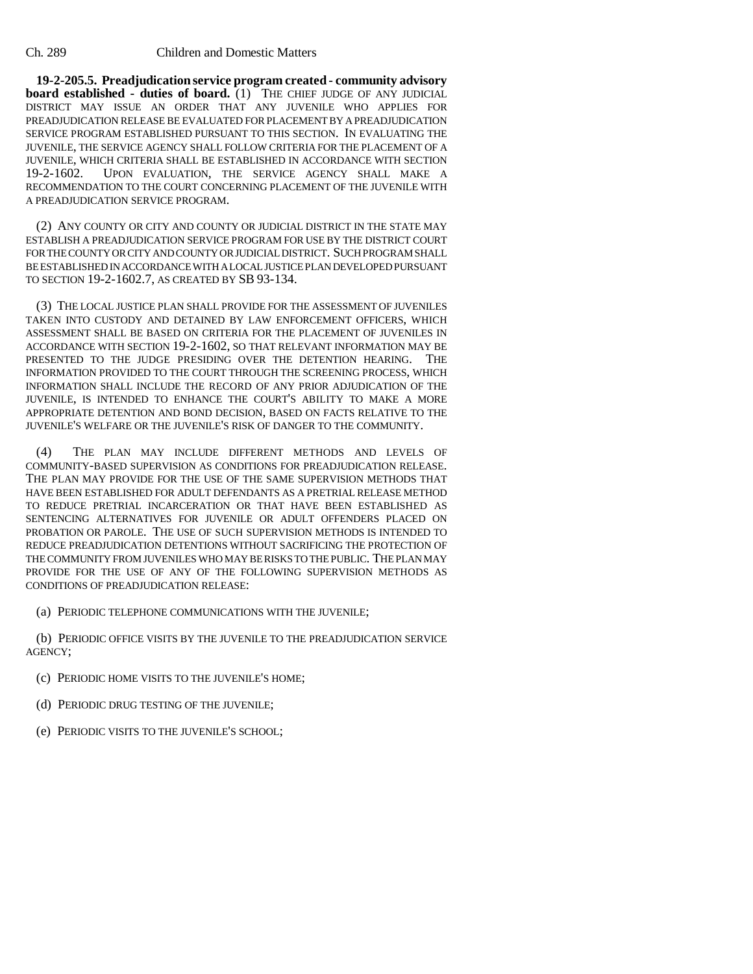**19-2-205.5. Preadjudication service program created - community advisory board established - duties of board.** (1) THE CHIEF JUDGE OF ANY JUDICIAL DISTRICT MAY ISSUE AN ORDER THAT ANY JUVENILE WHO APPLIES FOR PREADJUDICATION RELEASE BE EVALUATED FOR PLACEMENT BY A PREADJUDICATION SERVICE PROGRAM ESTABLISHED PURSUANT TO THIS SECTION. IN EVALUATING THE JUVENILE, THE SERVICE AGENCY SHALL FOLLOW CRITERIA FOR THE PLACEMENT OF A JUVENILE, WHICH CRITERIA SHALL BE ESTABLISHED IN ACCORDANCE WITH SECTION 19-2-1602. UPON EVALUATION, THE SERVICE AGENCY SHALL MAKE A UPON EVALUATION, THE SERVICE AGENCY SHALL MAKE A RECOMMENDATION TO THE COURT CONCERNING PLACEMENT OF THE JUVENILE WITH A PREADJUDICATION SERVICE PROGRAM.

(2) ANY COUNTY OR CITY AND COUNTY OR JUDICIAL DISTRICT IN THE STATE MAY ESTABLISH A PREADJUDICATION SERVICE PROGRAM FOR USE BY THE DISTRICT COURT FOR THE COUNTY OR CITY AND COUNTY OR JUDICIAL DISTRICT. SUCH PROGRAM SHALL BE ESTABLISHED IN ACCORDANCE WITH A LOCAL JUSTICE PLAN DEVELOPED PURSUANT TO SECTION 19-2-1602.7, AS CREATED BY SB 93-134.

(3) THE LOCAL JUSTICE PLAN SHALL PROVIDE FOR THE ASSESSMENT OF JUVENILES TAKEN INTO CUSTODY AND DETAINED BY LAW ENFORCEMENT OFFICERS, WHICH ASSESSMENT SHALL BE BASED ON CRITERIA FOR THE PLACEMENT OF JUVENILES IN ACCORDANCE WITH SECTION 19-2-1602, SO THAT RELEVANT INFORMATION MAY BE PRESENTED TO THE JUDGE PRESIDING OVER THE DETENTION HEARING. THE INFORMATION PROVIDED TO THE COURT THROUGH THE SCREENING PROCESS, WHICH INFORMATION SHALL INCLUDE THE RECORD OF ANY PRIOR ADJUDICATION OF THE JUVENILE, IS INTENDED TO ENHANCE THE COURT'S ABILITY TO MAKE A MORE APPROPRIATE DETENTION AND BOND DECISION, BASED ON FACTS RELATIVE TO THE JUVENILE'S WELFARE OR THE JUVENILE'S RISK OF DANGER TO THE COMMUNITY.

(4) THE PLAN MAY INCLUDE DIFFERENT METHODS AND LEVELS OF COMMUNITY-BASED SUPERVISION AS CONDITIONS FOR PREADJUDICATION RELEASE. THE PLAN MAY PROVIDE FOR THE USE OF THE SAME SUPERVISION METHODS THAT HAVE BEEN ESTABLISHED FOR ADULT DEFENDANTS AS A PRETRIAL RELEASE METHOD TO REDUCE PRETRIAL INCARCERATION OR THAT HAVE BEEN ESTABLISHED AS SENTENCING ALTERNATIVES FOR JUVENILE OR ADULT OFFENDERS PLACED ON PROBATION OR PAROLE. THE USE OF SUCH SUPERVISION METHODS IS INTENDED TO REDUCE PREADJUDICATION DETENTIONS WITHOUT SACRIFICING THE PROTECTION OF THE COMMUNITY FROM JUVENILES WHO MAY BE RISKS TO THE PUBLIC. THE PLAN MAY PROVIDE FOR THE USE OF ANY OF THE FOLLOWING SUPERVISION METHODS AS CONDITIONS OF PREADJUDICATION RELEASE:

(a) PERIODIC TELEPHONE COMMUNICATIONS WITH THE JUVENILE;

(b) PERIODIC OFFICE VISITS BY THE JUVENILE TO THE PREADJUDICATION SERVICE AGENCY;

- (c) PERIODIC HOME VISITS TO THE JUVENILE'S HOME;
- (d) PERIODIC DRUG TESTING OF THE JUVENILE;
- (e) PERIODIC VISITS TO THE JUVENILE'S SCHOOL;